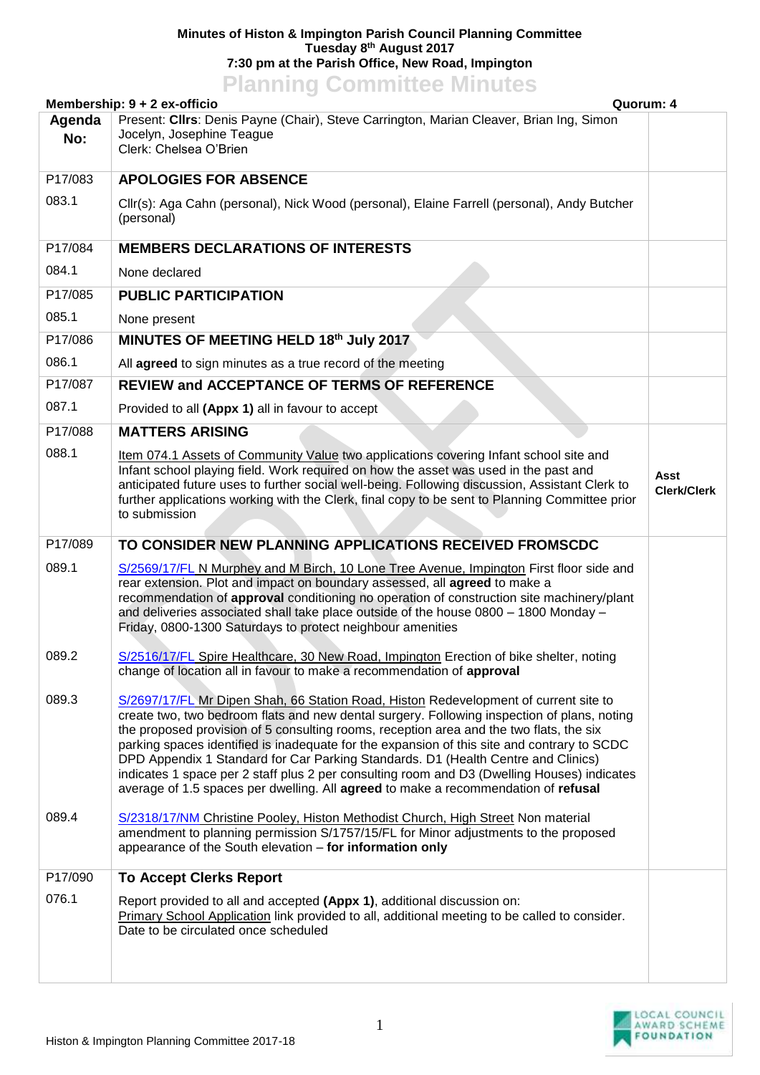## **Minutes of Histon & Impington Parish Council Planning Committee Tuesday 8 th August 2017 7:30 pm at the Parish Office, New Road, Impington**

## **Planning Committee Minutes**

|               | Membership: 9 + 2 ex-officio<br>Quorum: 4                                                                                                                                                                                                                                                                                                                                                                                                                                                                                                                                                                                                               |                            |
|---------------|---------------------------------------------------------------------------------------------------------------------------------------------------------------------------------------------------------------------------------------------------------------------------------------------------------------------------------------------------------------------------------------------------------------------------------------------------------------------------------------------------------------------------------------------------------------------------------------------------------------------------------------------------------|----------------------------|
| Agenda<br>No: | Present: Cllrs: Denis Payne (Chair), Steve Carrington, Marian Cleaver, Brian Ing, Simon<br>Jocelyn, Josephine Teague<br>Clerk: Chelsea O'Brien                                                                                                                                                                                                                                                                                                                                                                                                                                                                                                          |                            |
| P17/083       | <b>APOLOGIES FOR ABSENCE</b>                                                                                                                                                                                                                                                                                                                                                                                                                                                                                                                                                                                                                            |                            |
| 083.1         | Cllr(s): Aga Cahn (personal), Nick Wood (personal), Elaine Farrell (personal), Andy Butcher<br>(personal)                                                                                                                                                                                                                                                                                                                                                                                                                                                                                                                                               |                            |
| P17/084       | <b>MEMBERS DECLARATIONS OF INTERESTS</b>                                                                                                                                                                                                                                                                                                                                                                                                                                                                                                                                                                                                                |                            |
| 084.1         | None declared                                                                                                                                                                                                                                                                                                                                                                                                                                                                                                                                                                                                                                           |                            |
| P17/085       | <b>PUBLIC PARTICIPATION</b>                                                                                                                                                                                                                                                                                                                                                                                                                                                                                                                                                                                                                             |                            |
| 085.1         | None present                                                                                                                                                                                                                                                                                                                                                                                                                                                                                                                                                                                                                                            |                            |
| P17/086       | MINUTES OF MEETING HELD 18th July 2017                                                                                                                                                                                                                                                                                                                                                                                                                                                                                                                                                                                                                  |                            |
| 086.1         | All agreed to sign minutes as a true record of the meeting                                                                                                                                                                                                                                                                                                                                                                                                                                                                                                                                                                                              |                            |
| P17/087       | <b>REVIEW and ACCEPTANCE OF TERMS OF REFERENCE</b>                                                                                                                                                                                                                                                                                                                                                                                                                                                                                                                                                                                                      |                            |
| 087.1         | Provided to all (Appx 1) all in favour to accept                                                                                                                                                                                                                                                                                                                                                                                                                                                                                                                                                                                                        |                            |
| P17/088       | <b>MATTERS ARISING</b>                                                                                                                                                                                                                                                                                                                                                                                                                                                                                                                                                                                                                                  |                            |
| 088.1         | Item 074.1 Assets of Community Value two applications covering Infant school site and<br>Infant school playing field. Work required on how the asset was used in the past and<br>anticipated future uses to further social well-being. Following discussion, Assistant Clerk to<br>further applications working with the Clerk, final copy to be sent to Planning Committee prior<br>to submission                                                                                                                                                                                                                                                      | Asst<br><b>Clerk/Clerk</b> |
| P17/089       | TO CONSIDER NEW PLANNING APPLICATIONS RECEIVED FROMSCDC                                                                                                                                                                                                                                                                                                                                                                                                                                                                                                                                                                                                 |                            |
| 089.1         | S/2569/17/FL N Murphey and M Birch, 10 Lone Tree Avenue, Impington First floor side and<br>rear extension. Plot and impact on boundary assessed, all agreed to make a<br>recommendation of approval conditioning no operation of construction site machinery/plant<br>and deliveries associated shall take place outside of the house 0800 - 1800 Monday -<br>Friday, 0800-1300 Saturdays to protect neighbour amenities                                                                                                                                                                                                                                |                            |
| 089.2         | S/2516/17/FL Spire Healthcare, 30 New Road, Impington Erection of bike shelter, noting<br>change of location all in favour to make a recommendation of approval                                                                                                                                                                                                                                                                                                                                                                                                                                                                                         |                            |
| 089.3         | S/2697/17/FL Mr Dipen Shah, 66 Station Road, Histon Redevelopment of current site to<br>create two, two bedroom flats and new dental surgery. Following inspection of plans, noting<br>the proposed provision of 5 consulting rooms, reception area and the two flats, the six<br>parking spaces identified is inadequate for the expansion of this site and contrary to SCDC<br>DPD Appendix 1 Standard for Car Parking Standards. D1 (Health Centre and Clinics)<br>indicates 1 space per 2 staff plus 2 per consulting room and D3 (Dwelling Houses) indicates<br>average of 1.5 spaces per dwelling. All agreed to make a recommendation of refusal |                            |
| 089.4         | S/2318/17/NM Christine Pooley, Histon Methodist Church, High Street Non material<br>amendment to planning permission S/1757/15/FL for Minor adjustments to the proposed<br>appearance of the South elevation - for information only                                                                                                                                                                                                                                                                                                                                                                                                                     |                            |
| P17/090       | <b>To Accept Clerks Report</b>                                                                                                                                                                                                                                                                                                                                                                                                                                                                                                                                                                                                                          |                            |
| 076.1         | Report provided to all and accepted (Appx 1), additional discussion on:<br>Primary School Application link provided to all, additional meeting to be called to consider.<br>Date to be circulated once scheduled                                                                                                                                                                                                                                                                                                                                                                                                                                        |                            |